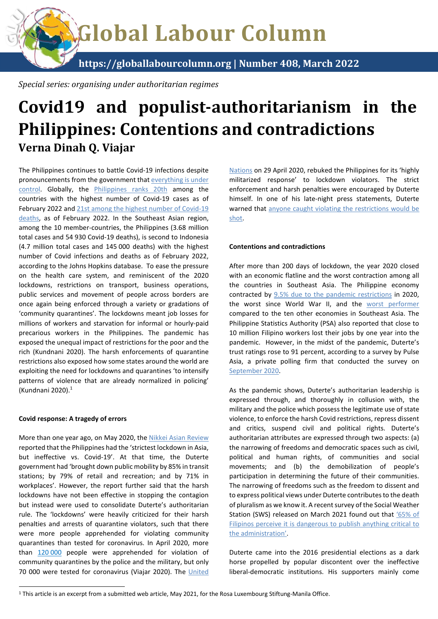Global Labour Column

https://globallabourcolumn.org | Number 408, March 2022

Special series: organising under authoritarian regimes

# Covid19 and populist-authoritarianism in the Philippines: Contentions and contradictions Verna Dinah Q. Viajar

The Philippines continues to battle Covid-19 infections despite pronouncements from the government that everything is under control. Globally, the Philippines ranks 20th among the countries with the highest number of Covid-19 cases as of February 2022 and 21st among the highest number of Covid-19 deaths, as of February 2022. In the Southeast Asian region, among the 10 member-countries, the Philippines (3.68 million total cases and 54 930 Covid-19 deaths), is second to Indonesia (4.7 million total cases and 145 000 deaths) with the highest number of Covid infections and deaths as of February 2022, according to the Johns Hopkins database. To ease the pressure on the health care system, and reminiscent of the 2020 lockdowns, restrictions on transport, business operations, public services and movement of people across borders are once again being enforced through a variety or gradations of 'community quarantines'. The lockdowns meant job losses for millions of workers and starvation for informal or hourly-paid precarious workers in the Philippines. The pandemic has exposed the unequal impact of restrictions for the poor and the rich (Kundnani 2020). The harsh enforcements of quarantine restrictions also exposed how some states around the world are exploiting the need for lockdowns and quarantines 'to intensify patterns of violence that are already normalized in policing' (Kundnani 2020).<sup>1</sup>

#### Covid response: A tragedy of errors

 $\overline{a}$ 

More than one year ago, on May 2020, the Nikkei Asian Review reported that the Philippines had the 'strictest lockdown in Asia, but ineffective vs. Covid-19'. At that time, the Duterte government had 'brought down public mobility by 85% in transit stations; by 79% of retail and recreation; and by 71% in workplaces'. However, the report further said that the harsh lockdowns have not been effective in stopping the contagion but instead were used to consolidate Duterte's authoritarian rule. The 'lockdowns' were heavily criticized for their harsh penalties and arrests of quarantine violators, such that there were more people apprehended for violating community quarantines than tested for coronavirus. In April 2020, more than 120 000 people were apprehended for violation of community quarantines by the police and the military, but only 70 000 were tested for coronavirus (Viajar 2020). The United

Nations on 29 April 2020, rebuked the Philippines for its 'highly militarized response' to lockdown violators. The strict enforcement and harsh penalties were encouraged by Duterte himself. In one of his late-night press statements, Duterte warned that anyone caught violating the restrictions would be shot.

### Contentions and contradictions

After more than 200 days of lockdown, the year 2020 closed with an economic flatline and the worst contraction among all the countries in Southeast Asia. The Philippine economy contracted by 9.5% due to the pandemic restrictions in 2020, the worst since World War II, and the worst performer compared to the ten other economies in Southeast Asia. The Philippine Statistics Authority (PSA) also reported that close to 10 million Filipino workers lost their jobs by one year into the pandemic. However, in the midst of the pandemic, Duterte's trust ratings rose to 91 percent, according to a survey by Pulse Asia, a private polling firm that conducted the survey on September 2020.

As the pandemic shows, Duterte's authoritarian leadership is expressed through, and thoroughly in collusion with, the military and the police which possess the legitimate use of state violence, to enforce the harsh Covid restrictions, repress dissent and critics, suspend civil and political rights. Duterte's authoritarian attributes are expressed through two aspects: (a) the narrowing of freedoms and democratic spaces such as civil, political and human rights, of communities and social movements; and (b) the demobilization of people's participation in determining the future of their communities. The narrowing of freedoms such as the freedom to dissent and to express political views under Duterte contributes to the death of pluralism as we know it. A recent survey of the Social Weather Station (SWS) released on March 2021 found out that '65% of Filipinos perceive it is dangerous to publish anything critical to the administration'.

Duterte came into the 2016 presidential elections as a dark horse propelled by popular discontent over the ineffective liberal-democratic institutions. His supporters mainly come

<sup>&</sup>lt;sup>1</sup> This article is an excerpt from a submitted web article, May 2021, for the Rosa Luxembourg Stiftung-Manila Office.